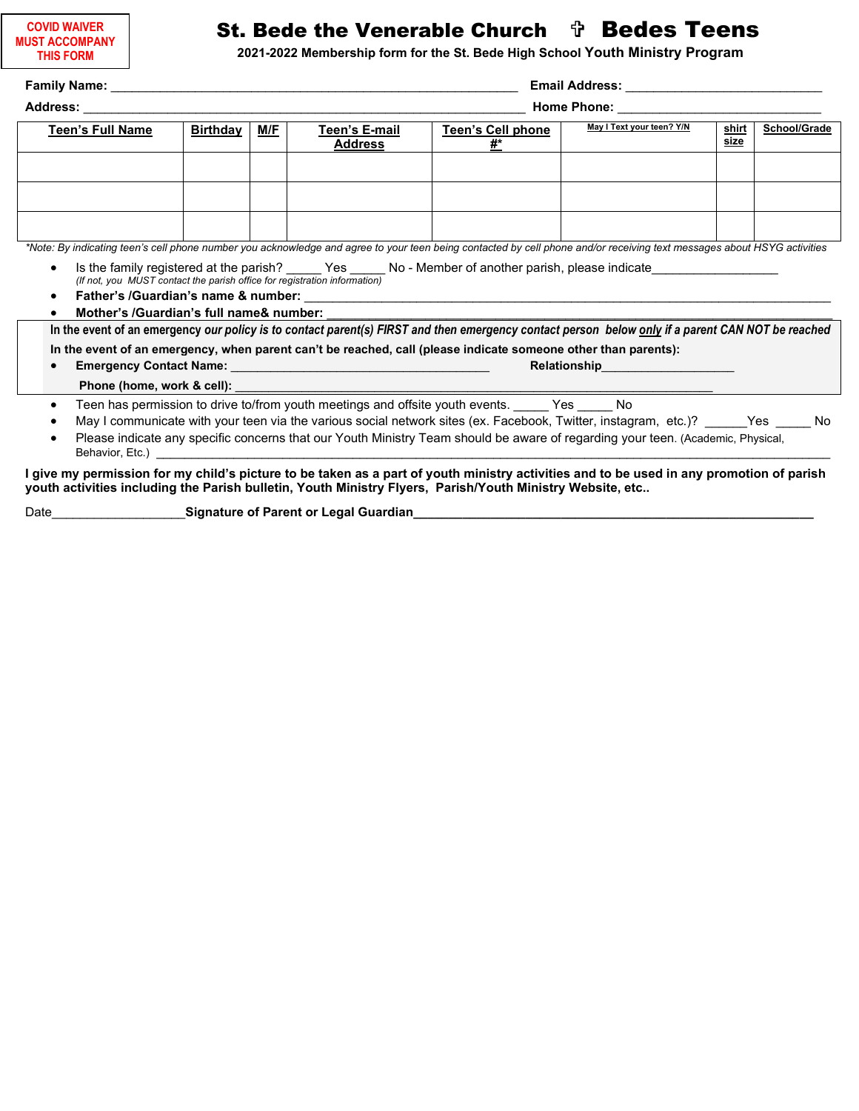| <b>COVID WAIVER</b>   |
|-----------------------|
| <b>MUST ACCOMPANY</b> |
| <b>THIS FORM</b>      |

## St. Bede the Venerable Church  $\psi$  Bedes Teens

**2021-2022 Membership form for the St. Bede High School Youth Ministry Program**

| <b>Teen's Full Name</b>                                                                                                                                                                                                                               | <b>Birthday</b> | M/F | Teen's E-mail<br><b>Address</b>                                                                                                                                                                                                     | <b>Teen's Cell phone</b><br>#*                                                                                 | May I Text your teen? Y/N                                                                                                                                                                                                                                           | shirt<br>size | School/Grade |  |
|-------------------------------------------------------------------------------------------------------------------------------------------------------------------------------------------------------------------------------------------------------|-----------------|-----|-------------------------------------------------------------------------------------------------------------------------------------------------------------------------------------------------------------------------------------|----------------------------------------------------------------------------------------------------------------|---------------------------------------------------------------------------------------------------------------------------------------------------------------------------------------------------------------------------------------------------------------------|---------------|--------------|--|
|                                                                                                                                                                                                                                                       |                 |     |                                                                                                                                                                                                                                     |                                                                                                                |                                                                                                                                                                                                                                                                     |               |              |  |
| *Note: By indicating teen's cell phone number you acknowledge and agree to your teen being contacted by cell phone and/or receiving text messages about HSYG activities                                                                               |                 |     |                                                                                                                                                                                                                                     |                                                                                                                |                                                                                                                                                                                                                                                                     |               |              |  |
| $\bullet$<br>(If not, you MUST contact the parish office for registration information)<br>$\bullet$<br>Mother's /Guardian's full name& number:                                                                                                        |                 |     |                                                                                                                                                                                                                                     | In the event of an emergency, when parent can't be reached, call (please indicate someone other than parents): | Is the family registered at the parish? ______ Yes ______ No - Member of another parish, please indicate<br>In the event of an emergency our policy is to contact parent(s) FIRST and then emergency contact person below only if a parent CAN NOT be reached       |               |              |  |
|                                                                                                                                                                                                                                                       |                 |     |                                                                                                                                                                                                                                     |                                                                                                                | <b>Relationship Relationship</b>                                                                                                                                                                                                                                    |               |              |  |
|                                                                                                                                                                                                                                                       |                 |     |                                                                                                                                                                                                                                     |                                                                                                                |                                                                                                                                                                                                                                                                     |               |              |  |
| $\bullet$<br>٠<br>$\bullet$                                                                                                                                                                                                                           |                 |     | Behavior, Etc.) <b>Example 20</b> Section 20 and 20 Section 20 and 20 Section 20 and 20 Section 20 and 20 Section 20 and 20 Section 20 and 20 Section 20 and 20 Section 20 and 20 Section 20 and 20 Section 20 and 20 Section 20 an | Teen has permission to drive to/from youth meetings and offsite youth events. Yes No                           | May I communicate with your teen via the various social network sites (ex. Facebook, Twitter, instagram, etc.)? _____Yes _____No<br>Please indicate any specific concerns that our Youth Ministry Team should be aware of regarding your teen. (Academic, Physical, |               |              |  |
| I give my permission for my child's picture to be taken as a part of youth ministry activities and to be used in any promotion of parish<br>youth activities including the Parish bulletin, Youth Ministry Flyers, Parish/Youth Ministry Website, etc |                 |     |                                                                                                                                                                                                                                     |                                                                                                                |                                                                                                                                                                                                                                                                     |               |              |  |

Date\_\_\_\_\_\_\_\_\_\_\_\_\_\_\_\_\_\_\_**Signature of Parent or Legal Guardian\_\_\_\_\_\_\_\_\_\_\_\_\_\_\_\_\_\_\_\_\_\_\_\_\_\_\_\_\_\_\_\_\_\_\_\_\_\_\_\_\_\_\_\_\_\_\_\_\_\_\_\_\_\_\_\_\_**